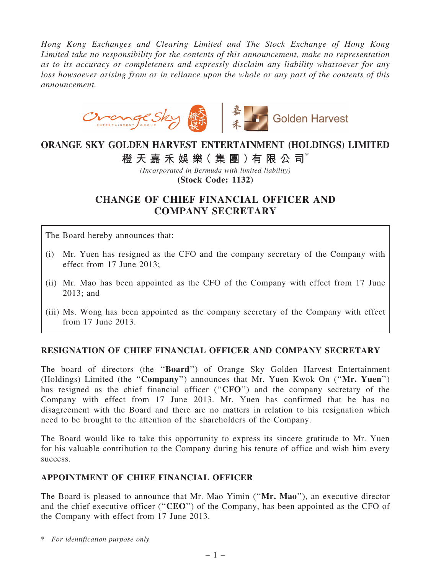*Hong Kong Exchanges and Clearing Limited and The Stock Exchange of Hong Kong Limited take no responsibility for the contents of this announcement, make no representation as to its accuracy or completeness and expressly disclaim any liability whatsoever for any loss howsoever arising from or in reliance upon the whole or any part of the contents of this announcement.*



# ORANGE SKY GOLDEN HARVEST ENTERTAINMENT (HOLDINGS) LIMITED

### 橙 天 嘉 禾 娛 樂( 集 團 )有 限 公 司\*

*(Incorporated in Bermuda with limited liability)* (Stock Code: 1132)

## CHANGE OF CHIEF FINANCIAL OFFICER AND COMPANY SECRETARY

The Board hereby announces that:

- (i) Mr. Yuen has resigned as the CFO and the company secretary of the Company with effect from 17 June 2013;
- (ii) Mr. Mao has been appointed as the CFO of the Company with effect from 17 June 2013; and
- (iii) Ms. Wong has been appointed as the company secretary of the Company with effect from 17 June 2013.

#### RESIGNATION OF CHIEF FINANCIAL OFFICER AND COMPANY SECRETARY

The board of directors (the ''Board'') of Orange Sky Golden Harvest Entertainment (Holdings) Limited (the ''Company'') announces that Mr. Yuen Kwok On (''Mr. Yuen'') has resigned as the chief financial officer ("CFO") and the company secretary of the Company with effect from 17 June 2013. Mr. Yuen has confirmed that he has no disagreement with the Board and there are no matters in relation to his resignation which need to be brought to the attention of the shareholders of the Company.

The Board would like to take this opportunity to express its sincere gratitude to Mr. Yuen for his valuable contribution to the Company during his tenure of office and wish him every success.

#### APPOINTMENT OF CHIEF FINANCIAL OFFICER

The Board is pleased to announce that Mr. Mao Yimin ("Mr. Mao"), an executive director and the chief executive officer ("**CEO**") of the Company, has been appointed as the CFO of the Company with effect from 17 June 2013.

\* *For identification purpose only*